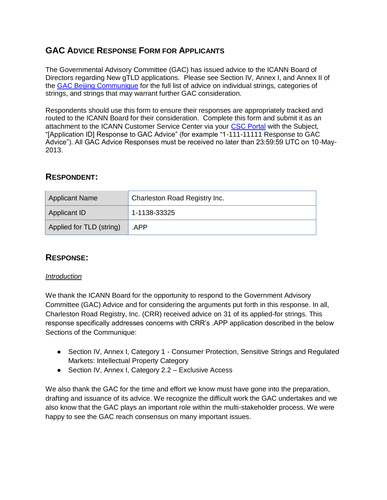# **GAC ADVICE RESPONSE FORM FOR APPLICANTS**

The Governmental Advisory Committee (GAC) has issued advice to the ICANN Board of Directors regarding New gTLD applications. Please see Section IV, Annex I, and Annex II of the [GAC Beijing Communique](http://www.icann.org/en/news/correspondence/gac-to-board-18apr13-en.pdf) for the full list of advice on individual strings, categories of strings, and strings that may warrant further GAC consideration.

Respondents should use this form to ensure their responses are appropriately tracked and routed to the ICANN Board for their consideration. Complete this form and submit it as an attachment to the ICANN Customer Service Center via your [CSC Portal](https://myicann.secure.force.com/) with the Subject, "[Application ID] Response to GAC Advice" (for example "1-111-11111 Response to GAC Advice"). All GAC Advice Responses must be received no later than 23:59:59 UTC on 10-May-2013.

# **RESPONDENT:**

| <b>Applicant Name</b>    | Charleston Road Registry Inc. |
|--------------------------|-------------------------------|
| Applicant ID             | 1-1138-33325                  |
| Applied for TLD (string) | .APP                          |

# **RESPONSE:**

## *Introduction*

We thank the ICANN Board for the opportunity to respond to the Government Advisory Committee (GAC) Advice and for considering the arguments put forth in this response. In all, Charleston Road Registry, Inc. (CRR) received advice on 31 of its applied-for strings. This response specifically addresses concerns with CRR's .APP application described in the below Sections of the Communique:

- Section IV, Annex I, Category 1 Consumer Protection, Sensitive Strings and Regulated Markets: Intellectual Property Category
- Section IV, Annex I, Category 2.2 Exclusive Access

We also thank the GAC for the time and effort we know must have gone into the preparation, drafting and issuance of its advice. We recognize the difficult work the GAC undertakes and we also know that the GAC plays an important role within the multi-stakeholder process. We were happy to see the GAC reach consensus on many important issues.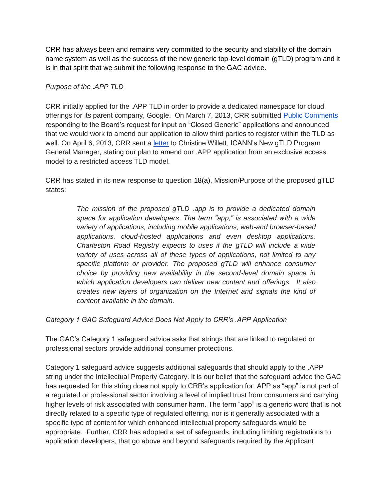CRR has always been and remains very committed to the security and stability of the domain name system as well as the success of the new generic top-level domain (gTLD) program and it is in that spirit that we submit the following response to the GAC advice.

#### *Purpose of the .APP TLD*

CRR initially applied for the .APP TLD in order to provide a dedicated namespace for cloud offerings for its parent company, Google. On March 7, 2013, CRR submitted [Public Comments](http://forum.icann.org/lists/comments-closed-generic-05feb13/pdfmUTyEbqqUY.pdf) responding to the Board's request for input on "Closed Generic" applications and announced that we would work to amend our application to allow third parties to register within the TLD as well. On April 6, 2013, CRR sent [a](http://www.icann.org/en/news/correspondence/falvey-to-willett-06apr13-en) [letter](http://www.icann.org/en/news/correspondence/falvey-to-willett-06apr13-en) to Christine Willett, ICANN's New gTLD Program General Manager, stating our plan to amend our .APP application from an exclusive access model to a restricted access TLD model.

CRR has stated in its new response to question 18(a), Mission/Purpose of the proposed gTLD states:

> *The mission of the proposed gTLD .app is to provide a dedicated domain*  space for application developers. The term "app," is associated with a wide *variety of applications, including mobile applications, web-and browser-based applications, cloud-hosted applications and even desktop applications. Charleston Road Registry expects to uses if the gTLD will include a wide variety of uses across all of these types of applications, not limited to any specific platform or provider. The proposed gTLD will enhance consumer choice by providing new availability in the second-level domain space in which application developers can deliver new content and offerings. It also creates new layers of organization on the Internet and signals the kind of content available in the domain.*

## *Category 1 GAC Safeguard Advice Does Not Apply to CRR's .APP Application*

The GAC's Category 1 safeguard advice asks that strings that are linked to regulated or professional sectors provide additional consumer protections.

Category 1 safeguard advice suggests additional safeguards that should apply to the .APP string under the Intellectual Property Category. It is our belief that the safeguard advice the GAC has requested for this string does not apply to CRR's application for .APP as "app" is not part of a regulated or professional sector involving a level of implied trust from consumers and carrying higher levels of risk associated with consumer harm. The term "app" is a generic word that is not directly related to a specific type of regulated offering, nor is it generally associated with a specific type of content for which enhanced intellectual property safeguards would be appropriate. Further, CRR has adopted a set of safeguards, including limiting registrations to application developers, that go above and beyond safeguards required by the Applicant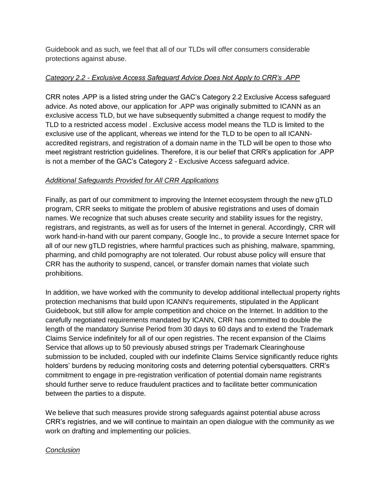Guidebook and as such, we feel that all of our TLDs will offer consumers considerable protections against abuse.

#### *Category 2.2 - Exclusive Access Safeguard Advice Does Not Apply to CRR's .APP*

CRR notes .APP is a listed string under the GAC's Category 2.2 Exclusive Access safeguard advice. As noted above, our application for .APP was originally submitted to ICANN as an exclusive access TLD, but we have subsequently submitted a change request to modify the TLD to a restricted access model . Exclusive access model means the TLD is limited to the exclusive use of the applicant, whereas we intend for the TLD to be open to all ICANNaccredited registrars, and registration of a domain name in the TLD will be open to those who meet registrant restriction guidelines. Therefore, it is our belief that CRR's application for .APP is not a member of the GAC's Category 2 - Exclusive Access safeguard advice.

#### *Additional Safeguards Provided for All CRR Applications*

Finally, as part of our commitment to improving the Internet ecosystem through the new gTLD program, CRR seeks to mitigate the problem of abusive registrations and uses of domain names. We recognize that such abuses create security and stability issues for the registry, registrars, and registrants, as well as for users of the Internet in general. Accordingly, CRR will work hand-in-hand with our parent company, Google Inc., to provide a secure Internet space for all of our new gTLD registries, where harmful practices such as phishing, malware, spamming, pharming, and child pornography are not tolerated. Our robust abuse policy will ensure that CRR has the authority to suspend, cancel, or transfer domain names that violate such prohibitions.

In addition, we have worked with the community to develop additional intellectual property rights protection mechanisms that build upon ICANN's requirements, stipulated in the Applicant Guidebook, but still allow for ample competition and choice on the Internet. In addition to the carefully negotiated requirements mandated by ICANN, CRR has committed to double the length of the mandatory Sunrise Period from 30 days to 60 days and to extend the Trademark Claims Service indefinitely for all of our open registries. The recent expansion of the Claims Service that allows up to 50 previously abused strings per Trademark Clearinghouse submission to be included, coupled with our indefinite Claims Service significantly reduce rights holders' burdens by reducing monitoring costs and deterring potential cybersquatters. CRR's commitment to engage in pre-registration verification of potential domain name registrants should further serve to reduce fraudulent practices and to facilitate better communication between the parties to a dispute.

We believe that such measures provide strong safeguards against potential abuse across CRR's registries, and we will continue to maintain an open dialogue with the community as we work on drafting and implementing our policies.

## *Conclusion*